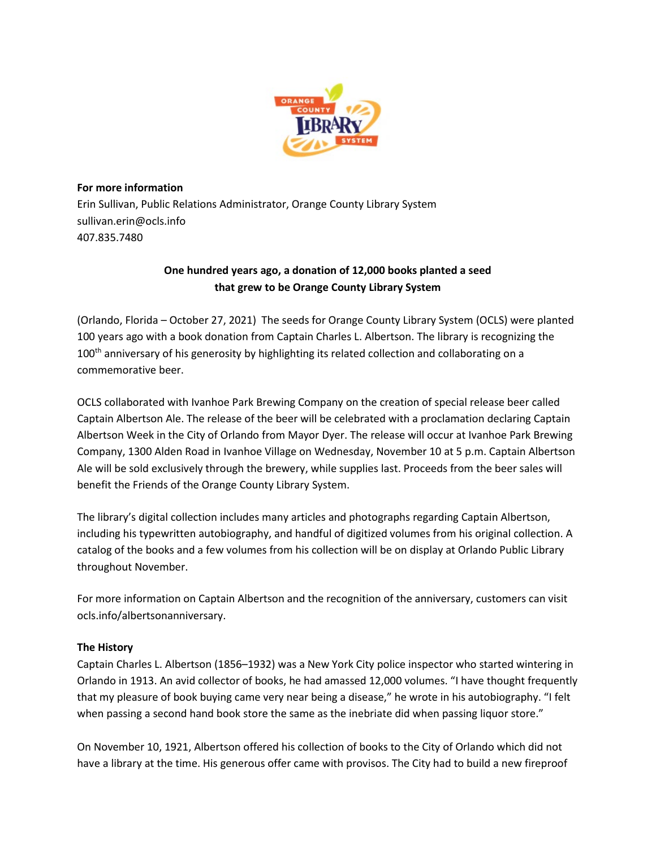

## **For more information**

Erin Sullivan, Public Relations Administrator, Orange County Library System sullivan.erin@ocls.info 407.835.7480

# **One hundred years ago, a donation of 12,000 books planted a seed that grew to be Orange County Library System**

(Orlando, Florida – October 27, 2021) The seeds for Orange County Library System (OCLS) were planted 100 years ago with a book donation from Captain Charles L. Albertson. The library is recognizing the 100<sup>th</sup> anniversary of his generosity by highlighting its related collection and collaborating on a commemorative beer.

OCLS collaborated with Ivanhoe Park Brewing Company on the creation of special release beer called Captain Albertson Ale. The release of the beer will be celebrated with a proclamation declaring Captain Albertson Week in the City of Orlando from Mayor Dyer. The release will occur at Ivanhoe Park Brewing Company, 1300 Alden Road in Ivanhoe Village on Wednesday, November 10 at 5 p.m. Captain Albertson Ale will be sold exclusively through the brewery, while supplies last. Proceeds from the beer sales will benefit the Friends of the Orange County Library System.

The library's digital collection includes many articles and photographs regarding Captain Albertson, including his typewritten autobiography, and handful of digitized volumes from his original collection. A catalog of the books and a few volumes from his collection will be on display at Orlando Public Library throughout November.

For more information on Captain Albertson and the recognition of the anniversary, customers can visit ocls.info/albertsonanniversary.

# **The History**

Captain Charles L. Albertson (1856–1932) was a New York City police inspector who started wintering in Orlando in 1913. An avid collector of books, he had amassed 12,000 volumes. "I have thought frequently that my pleasure of book buying came very near being a disease," he wrote in his autobiography. "I felt when passing a second hand book store the same as the inebriate did when passing liquor store."

On November 10, 1921, Albertson offered his collection of books to the City of Orlando which did not have a library at the time. His generous offer came with provisos. The City had to build a new fireproof